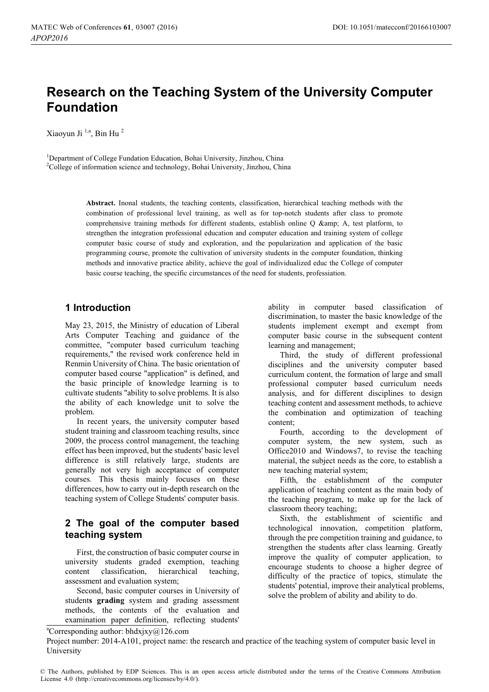# **Research on the Teaching System of the University Computer Foundation**

Xiaoyun Ji  $^{1,a}$ . Bin Hu<sup>2</sup>

<sup>1</sup>Department of College Fundation Education, Bohai University, Jinzhou, China <sup>2</sup>College of information science and technology, Bohai University, Jinzhou, China

> **Abstract.** Inonal students, the teaching contents, classification, hierarchical teaching methods with the combination of professional level training, as well as for top-notch students after class to promote comprehensive training methods for different students, establish online Q & A, test platform, to strengthen the integration professional education and computer education and training system of college computer basic course of study and exploration, and the popularization and application of the basic programming course, promote the cultivation of university students in the computer foundation, thinking methods and innovative practice ability, achieve the goal of individualized educ the College of computer basic course teaching, the specific circumstances of the need for students, professiation.

### **1 Introduction**

May 23, 2015, the Ministry of education of Liberal Arts Computer Teaching and guidance of the committee, "computer based curriculum teaching requirements," the revised work conference held in Renmin University of China. The basic orientation of computer based course "application" is defined, and the basic principle of knowledge learning is to cultivate students "ability to solve problems. It is also the ability of each knowledge unit to solve the problem.

In recent years, the university computer based student training and classroom teaching results, since 2009, the process control management, the teaching effect has been improved, but the students' basic level difference is still relatively large, students are generally not very high acceptance of computer courses. This thesis mainly focuses on these differences, how to carry out in-depth research on the teaching system of College Students' computer basis.

### **2 The goal of the computer based teaching system**

First, the construction of basic computer course in university students graded exemption, teaching content classification, hierarchical teaching, assessment and evaluation system;

Second, basic computer courses in University of student**s grading** system and grading assessment methods, the contents of the evaluation and examination paper definition, reflecting students'

ability in computer based classification of discrimination, to master the basic knowledge of the students implement exempt and exempt from computer basic course in the subsequent content learning and management;

Third, the study of different professional disciplines and the university computer based curriculum content, the formation of large and small professional computer based curriculum needs analysis, and for different disciplines to design teaching content and assessment methods, to achieve the combination and optimization of teaching content;

Fourth, according to the development of computer system, the new system, such as Office2010 and Windows7, to revise the teaching material, the subject needs as the core, to establish a new teaching material system;

Fifth, the establishment of the computer application of teaching content as the main body of the teaching program, to make up for the lack of classroom theory teaching;

Sixth, the establishment of scientific and technological innovation, competition platform, through the pre competition training and guidance, to strengthen the students after class learning. Greatly improve the quality of computer application, to encourage students to choose a higher degree of difficulty of the practice of topics, stimulate the students' potential, improve their analytical problems, solve the problem of ability and ability to do.

a Corresponding author: [bhdxjxy@126.com](mailto:bhdxjxy@126.com) 

Project number: 2014-A101, project name: the research and practice of the teaching system of computer basic level in University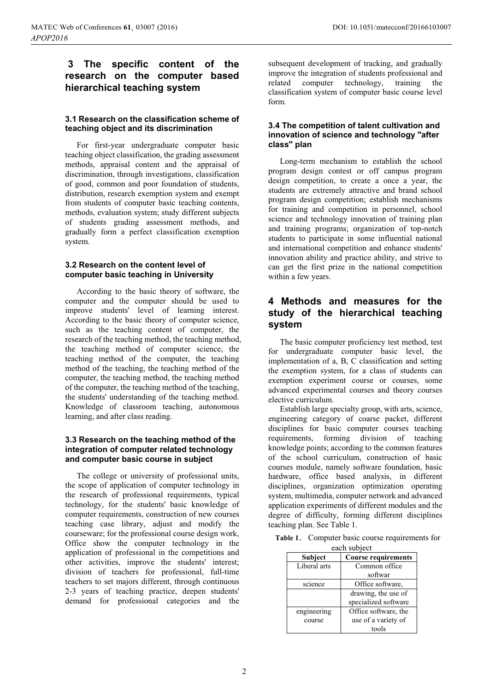# **3 The specific content of the research on the computer based hierarchical teaching system**

### **3.1 Research on the classification scheme of teaching object and its discrimination**

For first-year undergraduate computer basic teaching object classification, the grading assessment methods, appraisal content and the appraisal of discrimination, through investigations, classification of good, common and poor foundation of students, distribution, research exemption system and exempt from students of computer basic teaching contents, methods, evaluation system; study different subjects of students grading assessment methods, and gradually form a perfect classification exemption system.

#### **3.2 Research on the content level of computer basic teaching in University**

According to the basic theory of software, the computer and the computer should be used to improve students' level of learning interest. According to the basic theory of computer science, such as the teaching content of computer, the research of the teaching method, the teaching method, the teaching method of computer science, the teaching method of the computer, the teaching method of the teaching, the teaching method of the computer, the teaching method, the teaching method of the computer, the teaching method of the teaching, the students' understanding of the teaching method. Knowledge of classroom teaching, autonomous learning, and after class reading.

#### **3.3 Research on the teaching method of the integration of computer related technology and computer basic course in subject**

The college or university of professional units, the scope of application of computer technology in the research of professional requirements, typical technology, for the students' basic knowledge of computer requirements, construction of new courses teaching case library, adjust and modify the courseware; for the professional course design work, Office show the computer technology in the application of professional in the competitions and other activities, improve the students' interest; division of teachers for professional, full-time teachers to set majors different, through continuous 2-3 years of teaching practice, deepen students' demand for professional categories and the

subsequent development of tracking, and gradually improve the integration of students professional and related computer technology, training the classification system of computer basic course level form.

### **3.4 The competition of talent cultivation and innovation of science and technology "after class" plan**

Long-term mechanism to establish the school program design contest or off campus program design competition, to create a once a year, the students are extremely attractive and brand school program design competition; establish mechanisms for training and competition in personnel, school science and technology innovation of training plan and training programs; organization of top-notch students to participate in some influential national and international competition and enhance students' innovation ability and practice ability, and strive to can get the first prize in the national competition within a few years.

# **4 Methods and measures for the study of the hierarchical teaching system**

The basic computer proficiency test method, test for undergraduate computer basic level, the implementation of a, B, C classification and setting the exemption system, for a class of students can exemption experiment course or courses, some advanced experimental courses and theory courses elective curriculum.

Establish large specialty group, with arts, science, engineering category of coarse packet, different disciplines for basic computer courses teaching requirements, forming division of teaching knowledge points; according to the common features of the school curriculum, construction of basic courses module, namely software foundation, basic hardware, office based analysis, in different disciplines, organization optimization operating system, multimedia, computer network and advanced application experiments of different modules and the degree of difficulty, forming different disciplines teaching plan. See Table 1.

Table 1. Computer basic course requirements for each subject

| vuvil ouojeet              |  |
|----------------------------|--|
| <b>Course requirements</b> |  |
| Common office              |  |
| softwar                    |  |
| Office software,           |  |
| drawing, the use of        |  |
| specialized software       |  |
| Office software, the       |  |
| use of a variety of        |  |
| tools                      |  |
|                            |  |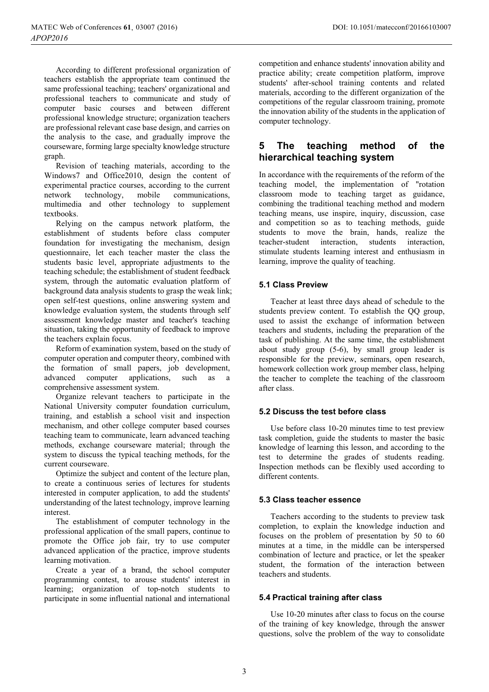According to different professional organization of teachers establish the appropriate team continued the same professional teaching; teachers' organizational and professional teachers to communicate and study of computer basic courses and between different professional knowledge structure; organization teachers are professional relevant case base design, and carries on the analysis to the case, and gradually improve the courseware, forming large specialty knowledge structure graph.

Revision of teaching materials, according to the Windows7 and Office2010, design the content of experimental practice courses, according to the current<br>network technology, mobile communications, network technology, mobile communications, multimedia and other technology to supplement textbooks.

Relying on the campus network platform, the establishment of students before class computer foundation for investigating the mechanism, design questionnaire, let each teacher master the class the students basic level, appropriate adjustments to the teaching schedule; the establishment of student feedback system, through the automatic evaluation platform of background data analysis students to grasp the weak link; open self-test questions, online answering system and knowledge evaluation system, the students through self assessment knowledge master and teacher's teaching situation, taking the opportunity of feedback to improve the teachers explain focus.

Reform of examination system, based on the study of computer operation and computer theory, combined with the formation of small papers, job development, advanced computer applications, such as a comprehensive assessment system.

Organize relevant teachers to participate in the National University computer foundation curriculum, training, and establish a school visit and inspection mechanism, and other college computer based courses teaching team to communicate, learn advanced teaching methods, exchange courseware material; through the system to discuss the typical teaching methods, for the current courseware.

Optimize the subject and content of the lecture plan, to create a continuous series of lectures for students interested in computer application, to add the students' understanding of the latest technology, improve learning interest.

The establishment of computer technology in the professional application of the small papers, continue to promote the Office job fair, try to use computer advanced application of the practice, improve students learning motivation.

Create a year of a brand, the school computer programming contest, to arouse students' interest in learning; organization of top-notch students to participate in some influential national and international competition and enhance students' innovation ability and practice ability; create competition platform, improve students' after-school training contents and related materials, according to the different organization of the competitions of the regular classroom training, promote the innovation ability of the students in the application of computer technology.

### **5 The teaching method of the hierarchical teaching system**

In accordance with the requirements of the reform of the teaching model, the implementation of "rotation classroom mode to teaching target as guidance, combining the traditional teaching method and modern teaching means, use inspire, inquiry, discussion, case and competition so as to teaching methods, guide students to move the brain, hands, realize the teacher-student interaction, students interaction, stimulate students learning interest and enthusiasm in learning, improve the quality of teaching.

### **5.1 Class Preview**

Teacher at least three days ahead of schedule to the students preview content. To establish the QQ group, used to assist the exchange of information between teachers and students, including the preparation of the task of publishing. At the same time, the establishment about study group (5-6), by small group leader is responsible for the preview, seminars, open research, homework collection work group member class, helping the teacher to complete the teaching of the classroom after class.

#### **5.2 Discuss the test before class**

Use before class 10-20 minutes time to test preview task completion, guide the students to master the basic knowledge of learning this lesson, and according to the test to determine the grades of students reading. Inspection methods can be flexibly used according to different contents.

#### **5.3 Class teacher essence**

Teachers according to the students to preview task completion, to explain the knowledge induction and focuses on the problem of presentation by 50 to 60 minutes at a time, in the middle can be interspersed combination of lecture and practice, or let the speaker student, the formation of the interaction between teachers and students.

#### **5.4 Practical training after class**

Use 10-20 minutes after class to focus on the course of the training of key knowledge, through the answer questions, solve the problem of the way to consolidate